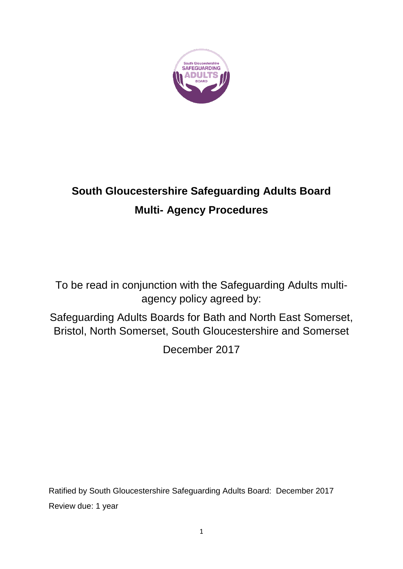

# **South Gloucestershire Safeguarding Adults Board Multi- Agency Procedures**

To be read in conjunction with the Safeguarding Adults multiagency policy agreed by:

Safeguarding Adults Boards for Bath and North East Somerset, Bristol, North Somerset, South Gloucestershire and Somerset

December 2017

Ratified by South Gloucestershire Safeguarding Adults Board: December 2017 Review due: 1 year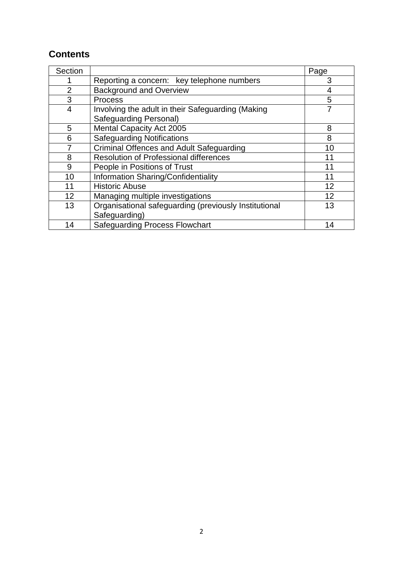### **Contents**

| Section        |                                                       | Page |
|----------------|-------------------------------------------------------|------|
|                | Reporting a concern: key telephone numbers            | 3    |
| $\overline{2}$ | <b>Background and Overview</b>                        | 4    |
| 3              | <b>Process</b>                                        | 5    |
| 4              | Involving the adult in their Safeguarding (Making     |      |
|                | <b>Safeguarding Personal)</b>                         |      |
| 5              | Mental Capacity Act 2005                              | 8    |
| 6              | <b>Safeguarding Notifications</b>                     | 8    |
|                | <b>Criminal Offences and Adult Safeguarding</b>       | 10   |
| 8              | <b>Resolution of Professional differences</b>         | 11   |
| 9              | People in Positions of Trust                          | 11   |
| 10             | Information Sharing/Confidentiality                   | 11   |
| 11             | <b>Historic Abuse</b>                                 | 12   |
| 12             | Managing multiple investigations                      | 12   |
| 13             | Organisational safeguarding (previously Institutional | 13   |
|                | Safeguarding)                                         |      |
| 14             | <b>Safeguarding Process Flowchart</b>                 | 14   |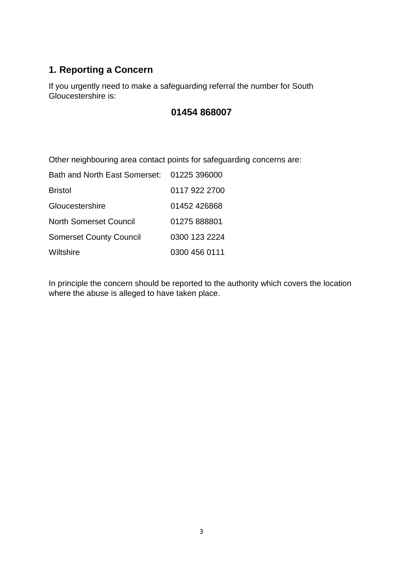### **1. Reporting a Concern**

If you urgently need to make a safeguarding referral the number for South Gloucestershire is:

### **01454 868007**

Other neighbouring area contact points for safeguarding concerns are:

| Bath and North East Somerset:  | 01225 396000  |
|--------------------------------|---------------|
| <b>Bristol</b>                 | 0117 922 2700 |
| Gloucestershire                | 01452 426868  |
| <b>North Somerset Council</b>  | 01275 888801  |
| <b>Somerset County Council</b> | 0300 123 2224 |
| Wiltshire                      | 0300 456 0111 |

In principle the concern should be reported to the authority which covers the location where the abuse is alleged to have taken place.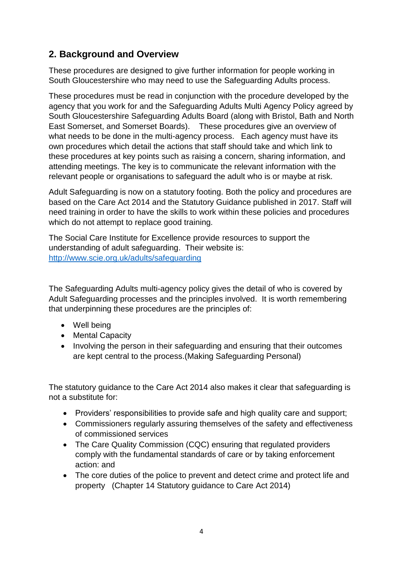### **2. Background and Overview**

These procedures are designed to give further information for people working in South Gloucestershire who may need to use the Safeguarding Adults process.

These procedures must be read in conjunction with the procedure developed by the agency that you work for and the Safeguarding Adults Multi Agency Policy agreed by South Gloucestershire Safeguarding Adults Board (along with Bristol, Bath and North East Somerset, and Somerset Boards). These procedures give an overview of what needs to be done in the multi-agency process. Each agency must have its own procedures which detail the actions that staff should take and which link to these procedures at key points such as raising a concern, sharing information, and attending meetings. The key is to communicate the relevant information with the relevant people or organisations to safeguard the adult who is or maybe at risk.

Adult Safeguarding is now on a statutory footing. Both the policy and procedures are based on the Care Act 2014 and the Statutory Guidance published in 2017. Staff will need training in order to have the skills to work within these policies and procedures which do not attempt to replace good training.

The Social Care Institute for Excellence provide resources to support the understanding of adult safeguarding. Their website is: <http://www.scie.org.uk/adults/safeguarding>

The Safeguarding Adults multi-agency policy gives the detail of who is covered by Adult Safeguarding processes and the principles involved. It is worth remembering that underpinning these procedures are the principles of:

- Well being
- Mental Capacity
- Involving the person in their safeguarding and ensuring that their outcomes are kept central to the process.(Making Safeguarding Personal)

The statutory guidance to the Care Act 2014 also makes it clear that safeguarding is not a substitute for:

- Providers' responsibilities to provide safe and high quality care and support;
- Commissioners regularly assuring themselves of the safety and effectiveness of commissioned services
- The Care Quality Commission (CQC) ensuring that regulated providers comply with the fundamental standards of care or by taking enforcement action: and
- The core duties of the police to prevent and detect crime and protect life and property (Chapter 14 Statutory guidance to Care Act 2014)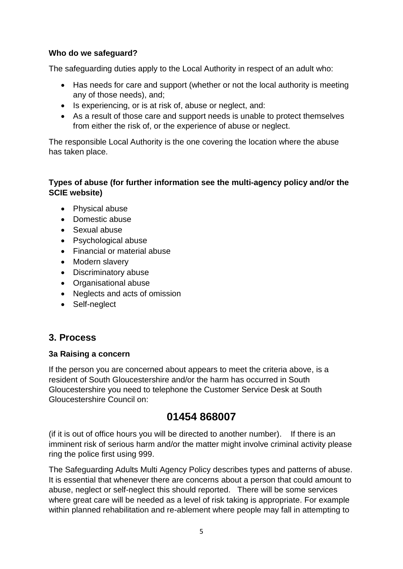#### **Who do we safeguard?**

The safeguarding duties apply to the Local Authority in respect of an adult who:

- Has needs for care and support (whether or not the local authority is meeting any of those needs), and;
- Is experiencing, or is at risk of, abuse or neglect, and:
- As a result of those care and support needs is unable to protect themselves from either the risk of, or the experience of abuse or neglect.

The responsible Local Authority is the one covering the location where the abuse has taken place.

#### **Types of abuse (for further information see the multi-agency policy and/or the SCIE website)**

- Physical abuse
- Domestic abuse
- Sexual abuse
- Psychological abuse
- Financial or material abuse
- Modern slavery
- Discriminatory abuse
- Organisational abuse
- Neglects and acts of omission
- Self-neglect

### **3. Process**

#### **3a Raising a concern**

If the person you are concerned about appears to meet the criteria above, is a resident of South Gloucestershire and/or the harm has occurred in South Gloucestershire you need to telephone the Customer Service Desk at South Gloucestershire Council on:

## **01454 868007**

(if it is out of office hours you will be directed to another number). If there is an imminent risk of serious harm and/or the matter might involve criminal activity please ring the police first using 999.

The Safeguarding Adults Multi Agency Policy describes types and patterns of abuse. It is essential that whenever there are concerns about a person that could amount to abuse, neglect or self-neglect this should reported. There will be some services where great care will be needed as a level of risk taking is appropriate. For example within planned rehabilitation and re-ablement where people may fall in attempting to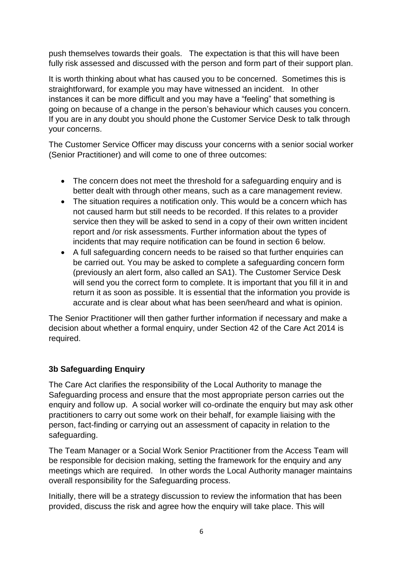push themselves towards their goals. The expectation is that this will have been fully risk assessed and discussed with the person and form part of their support plan.

It is worth thinking about what has caused you to be concerned. Sometimes this is straightforward, for example you may have witnessed an incident. In other instances it can be more difficult and you may have a "feeling" that something is going on because of a change in the person's behaviour which causes you concern. If you are in any doubt you should phone the Customer Service Desk to talk through your concerns.

The Customer Service Officer may discuss your concerns with a senior social worker (Senior Practitioner) and will come to one of three outcomes:

- The concern does not meet the threshold for a safeguarding enquiry and is better dealt with through other means, such as a care management review.
- The situation requires a notification only. This would be a concern which has not caused harm but still needs to be recorded. If this relates to a provider service then they will be asked to send in a copy of their own written incident report and /or risk assessments. Further information about the types of incidents that may require notification can be found in section 6 below.
- A full safeguarding concern needs to be raised so that further enquiries can be carried out. You may be asked to complete a safeguarding concern form (previously an alert form, also called an SA1). The Customer Service Desk will send you the correct form to complete. It is important that you fill it in and return it as soon as possible. It is essential that the information you provide is accurate and is clear about what has been seen/heard and what is opinion.

The Senior Practitioner will then gather further information if necessary and make a decision about whether a formal enquiry, under Section 42 of the Care Act 2014 is required.

### **3b Safeguarding Enquiry**

The Care Act clarifies the responsibility of the Local Authority to manage the Safeguarding process and ensure that the most appropriate person carries out the enquiry and follow up. A social worker will co-ordinate the enquiry but may ask other practitioners to carry out some work on their behalf, for example liaising with the person, fact-finding or carrying out an assessment of capacity in relation to the safeguarding.

The Team Manager or a Social Work Senior Practitioner from the Access Team will be responsible for decision making, setting the framework for the enquiry and any meetings which are required. In other words the Local Authority manager maintains overall responsibility for the Safeguarding process.

Initially, there will be a strategy discussion to review the information that has been provided, discuss the risk and agree how the enquiry will take place. This will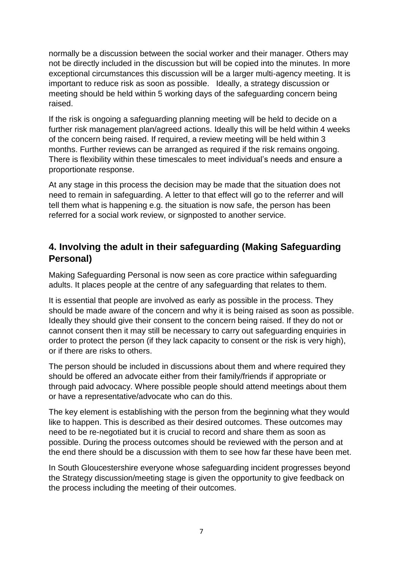normally be a discussion between the social worker and their manager. Others may not be directly included in the discussion but will be copied into the minutes. In more exceptional circumstances this discussion will be a larger multi-agency meeting. It is important to reduce risk as soon as possible. Ideally, a strategy discussion or meeting should be held within 5 working days of the safeguarding concern being raised.

If the risk is ongoing a safeguarding planning meeting will be held to decide on a further risk management plan/agreed actions. Ideally this will be held within 4 weeks of the concern being raised. If required, a review meeting will be held within 3 months. Further reviews can be arranged as required if the risk remains ongoing. There is flexibility within these timescales to meet individual's needs and ensure a proportionate response.

At any stage in this process the decision may be made that the situation does not need to remain in safeguarding. A letter to that effect will go to the referrer and will tell them what is happening e.g. the situation is now safe, the person has been referred for a social work review, or signposted to another service.

### **4. Involving the adult in their safeguarding (Making Safeguarding Personal)**

Making Safeguarding Personal is now seen as core practice within safeguarding adults. It places people at the centre of any safeguarding that relates to them.

It is essential that people are involved as early as possible in the process. They should be made aware of the concern and why it is being raised as soon as possible. Ideally they should give their consent to the concern being raised. If they do not or cannot consent then it may still be necessary to carry out safeguarding enquiries in order to protect the person (if they lack capacity to consent or the risk is very high), or if there are risks to others.

The person should be included in discussions about them and where required they should be offered an advocate either from their family/friends if appropriate or through paid advocacy. Where possible people should attend meetings about them or have a representative/advocate who can do this.

The key element is establishing with the person from the beginning what they would like to happen. This is described as their desired outcomes. These outcomes may need to be re-negotiated but it is crucial to record and share them as soon as possible. During the process outcomes should be reviewed with the person and at the end there should be a discussion with them to see how far these have been met.

In South Gloucestershire everyone whose safeguarding incident progresses beyond the Strategy discussion/meeting stage is given the opportunity to give feedback on the process including the meeting of their outcomes.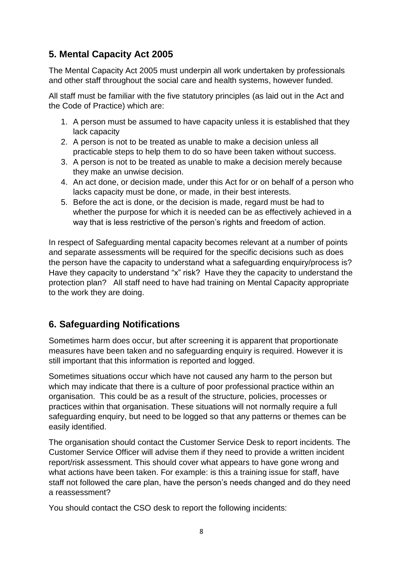### **5. Mental Capacity Act 2005**

The Mental Capacity Act 2005 must underpin all work undertaken by professionals and other staff throughout the social care and health systems, however funded.

All staff must be familiar with the five statutory principles (as laid out in the Act and the Code of Practice) which are:

- 1. A person must be assumed to have capacity unless it is established that they lack capacity
- 2. A person is not to be treated as unable to make a decision unless all practicable steps to help them to do so have been taken without success.
- 3. A person is not to be treated as unable to make a decision merely because they make an unwise decision.
- 4. An act done, or decision made, under this Act for or on behalf of a person who lacks capacity must be done, or made, in their best interests.
- 5. Before the act is done, or the decision is made, regard must be had to whether the purpose for which it is needed can be as effectively achieved in a way that is less restrictive of the person's rights and freedom of action.

In respect of Safeguarding mental capacity becomes relevant at a number of points and separate assessments will be required for the specific decisions such as does the person have the capacity to understand what a safeguarding enquiry/process is? Have they capacity to understand "x" risk? Have they the capacity to understand the protection plan? All staff need to have had training on Mental Capacity appropriate to the work they are doing.

### **6. Safeguarding Notifications**

Sometimes harm does occur, but after screening it is apparent that proportionate measures have been taken and no safeguarding enquiry is required. However it is still important that this information is reported and logged.

Sometimes situations occur which have not caused any harm to the person but which may indicate that there is a culture of poor professional practice within an organisation. This could be as a result of the structure, policies, processes or practices within that organisation. These situations will not normally require a full safeguarding enquiry, but need to be logged so that any patterns or themes can be easily identified.

The organisation should contact the Customer Service Desk to report incidents. The Customer Service Officer will advise them if they need to provide a written incident report/risk assessment. This should cover what appears to have gone wrong and what actions have been taken. For example: is this a training issue for staff, have staff not followed the care plan, have the person's needs changed and do they need a reassessment?

You should contact the CSO desk to report the following incidents: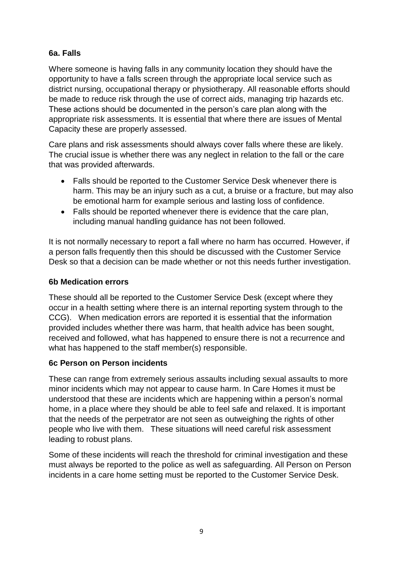#### **6a. Falls**

Where someone is having falls in any community location they should have the opportunity to have a falls screen through the appropriate local service such as district nursing, occupational therapy or physiotherapy. All reasonable efforts should be made to reduce risk through the use of correct aids, managing trip hazards etc. These actions should be documented in the person's care plan along with the appropriate risk assessments. It is essential that where there are issues of Mental Capacity these are properly assessed.

Care plans and risk assessments should always cover falls where these are likely. The crucial issue is whether there was any neglect in relation to the fall or the care that was provided afterwards.

- Falls should be reported to the Customer Service Desk whenever there is harm. This may be an injury such as a cut, a bruise or a fracture, but may also be emotional harm for example serious and lasting loss of confidence.
- Falls should be reported whenever there is evidence that the care plan, including manual handling guidance has not been followed.

It is not normally necessary to report a fall where no harm has occurred. However, if a person falls frequently then this should be discussed with the Customer Service Desk so that a decision can be made whether or not this needs further investigation.

#### **6b Medication errors**

These should all be reported to the Customer Service Desk (except where they occur in a health setting where there is an internal reporting system through to the CCG). When medication errors are reported it is essential that the information provided includes whether there was harm, that health advice has been sought, received and followed, what has happened to ensure there is not a recurrence and what has happened to the staff member(s) responsible.

#### **6c Person on Person incidents**

These can range from extremely serious assaults including sexual assaults to more minor incidents which may not appear to cause harm. In Care Homes it must be understood that these are incidents which are happening within a person's normal home, in a place where they should be able to feel safe and relaxed. It is important that the needs of the perpetrator are not seen as outweighing the rights of other people who live with them. These situations will need careful risk assessment leading to robust plans.

Some of these incidents will reach the threshold for criminal investigation and these must always be reported to the police as well as safeguarding. All Person on Person incidents in a care home setting must be reported to the Customer Service Desk.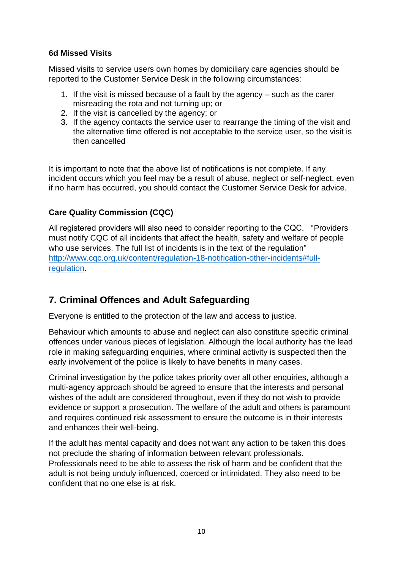#### **6d Missed Visits**

Missed visits to service users own homes by domiciliary care agencies should be reported to the Customer Service Desk in the following circumstances:

- 1. If the visit is missed because of a fault by the agency such as the carer misreading the rota and not turning up; or
- 2. If the visit is cancelled by the agency; or
- 3. If the agency contacts the service user to rearrange the timing of the visit and the alternative time offered is not acceptable to the service user, so the visit is then cancelled

It is important to note that the above list of notifications is not complete. If any incident occurs which you feel may be a result of abuse, neglect or self-neglect, even if no harm has occurred, you should contact the Customer Service Desk for advice.

### **Care Quality Commission (CQC)**

All registered providers will also need to consider reporting to the CQC. "Providers must notify CQC of all incidents that affect the health, safety and welfare of people who use services. The full list of incidents is in the text of the regulation" [http://www.cqc.org.uk/content/regulation-18-notification-other-incidents#full](http://www.cqc.org.uk/content/regulation-18-notification-other-incidents#full-regulation)[regulation.](http://www.cqc.org.uk/content/regulation-18-notification-other-incidents#full-regulation)

### **7. Criminal Offences and Adult Safeguarding**

Everyone is entitled to the protection of the law and access to justice.

Behaviour which amounts to abuse and neglect can also constitute specific criminal offences under various pieces of legislation. Although the local authority has the lead role in making safeguarding enquiries, where criminal activity is suspected then the early involvement of the police is likely to have benefits in many cases.

Criminal investigation by the police takes priority over all other enquiries, although a multi-agency approach should be agreed to ensure that the interests and personal wishes of the adult are considered throughout, even if they do not wish to provide evidence or support a prosecution. The welfare of the adult and others is paramount and requires continued risk assessment to ensure the outcome is in their interests and enhances their well-being.

If the adult has mental capacity and does not want any action to be taken this does not preclude the sharing of information between relevant professionals. Professionals need to be able to assess the risk of harm and be confident that the adult is not being unduly influenced, coerced or intimidated. They also need to be confident that no one else is at risk.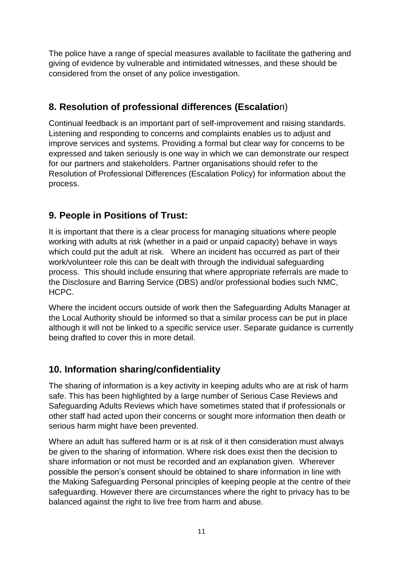The police have a range of special measures available to facilitate the gathering and giving of evidence by vulnerable and intimidated witnesses, and these should be considered from the onset of any police investigation.

### **8. Resolution of professional differences (Escalatio**n)

Continual feedback is an important part of self-improvement and raising standards. Listening and responding to concerns and complaints enables us to adjust and improve services and systems. Providing a formal but clear way for concerns to be expressed and taken seriously is one way in which we can demonstrate our respect for our partners and stakeholders. Partner organisations should refer to the Resolution of Professional Differences (Escalation Policy) for information about the process.

### **9. People in Positions of Trust:**

It is important that there is a clear process for managing situations where people working with adults at risk (whether in a paid or unpaid capacity) behave in ways which could put the adult at risk. Where an incident has occurred as part of their work/volunteer role this can be dealt with through the individual safeguarding process. This should include ensuring that where appropriate referrals are made to the Disclosure and Barring Service (DBS) and/or professional bodies such NMC, HCPC.

Where the incident occurs outside of work then the Safeguarding Adults Manager at the Local Authority should be informed so that a similar process can be put in place although it will not be linked to a specific service user. Separate guidance is currently being drafted to cover this in more detail.

### **10. Information sharing/confidentiality**

The sharing of information is a key activity in keeping adults who are at risk of harm safe. This has been highlighted by a large number of Serious Case Reviews and Safeguarding Adults Reviews which have sometimes stated that if professionals or other staff had acted upon their concerns or sought more information then death or serious harm might have been prevented.

Where an adult has suffered harm or is at risk of it then consideration must always be given to the sharing of information. Where risk does exist then the decision to share information or not must be recorded and an explanation given. Wherever possible the person's consent should be obtained to share information in line with the Making Safeguarding Personal principles of keeping people at the centre of their safeguarding. However there are circumstances where the right to privacy has to be balanced against the right to live free from harm and abuse.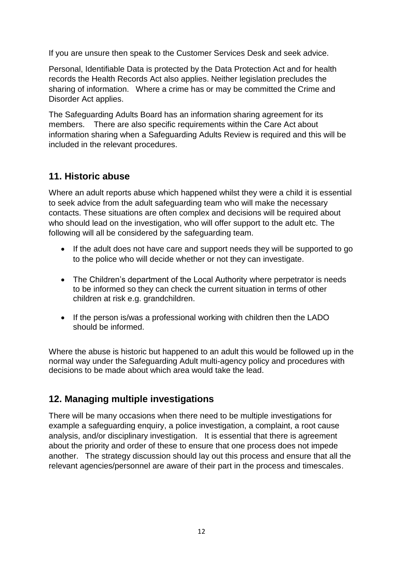If you are unsure then speak to the Customer Services Desk and seek advice.

Personal, Identifiable Data is protected by the Data Protection Act and for health records the Health Records Act also applies. Neither legislation precludes the sharing of information. Where a crime has or may be committed the Crime and Disorder Act applies.

The Safeguarding Adults Board has an information sharing agreement for its members. There are also specific requirements within the Care Act about information sharing when a Safeguarding Adults Review is required and this will be included in the relevant procedures.

### **11. Historic abuse**

Where an adult reports abuse which happened whilst they were a child it is essential to seek advice from the adult safeguarding team who will make the necessary contacts. These situations are often complex and decisions will be required about who should lead on the investigation, who will offer support to the adult etc. The following will all be considered by the safeguarding team.

- If the adult does not have care and support needs they will be supported to go to the police who will decide whether or not they can investigate.
- The Children's department of the Local Authority where perpetrator is needs to be informed so they can check the current situation in terms of other children at risk e.g. grandchildren.
- If the person is/was a professional working with children then the LADO should be informed.

Where the abuse is historic but happened to an adult this would be followed up in the normal way under the Safeguarding Adult multi-agency policy and procedures with decisions to be made about which area would take the lead.

### **12. Managing multiple investigations**

There will be many occasions when there need to be multiple investigations for example a safeguarding enquiry, a police investigation, a complaint, a root cause analysis, and/or disciplinary investigation. It is essential that there is agreement about the priority and order of these to ensure that one process does not impede another. The strategy discussion should lay out this process and ensure that all the relevant agencies/personnel are aware of their part in the process and timescales.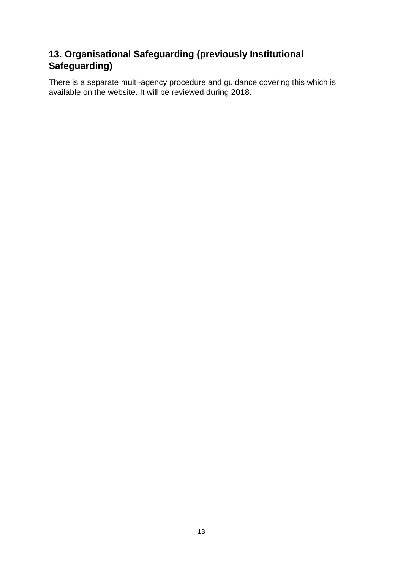### **13. Organisational Safeguarding (previously Institutional Safeguarding)**

There is a separate multi-agency procedure and guidance covering this which is available on the website. It will be reviewed during 2018.